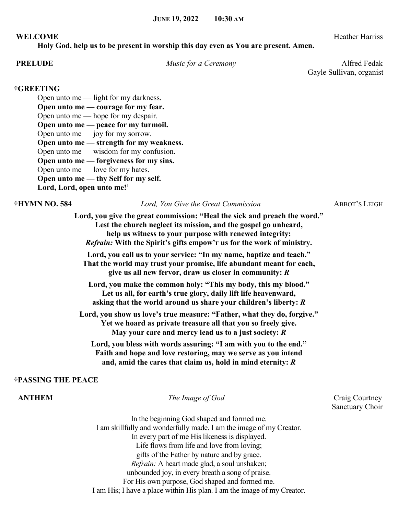### **WELCOME** Heather Harriss

**Holy God, help us to be present in worship this day even as You are present. Amen.**

**PRELUDE** *Music for a Ceremony* **Alfred Fedak** Gayle Sullivan, organist

### **†GREETING**

Open unto me — light for my darkness. **Open unto me — courage for my fear.**

Open unto me — hope for my despair.

**Open unto me — peace for my turmoil.**

Open unto me  $-$  joy for my sorrow.

**Open unto me — strength for my weakness.**

Open unto me — wisdom for my confusion.

**Open unto me — forgiveness for my sins.**

Open unto me — love for my hates.

**Open unto me — thy Self for my self.**

**Lord, Lord, open unto me!<sup>1</sup>**

**†HYMN NO. 584** *Lord, You Give the Great Commission* ABBOT'S LEIGH

**Lord, you give the great commission: "Heal the sick and preach the word." Lest the church neglect its mission, and the gospel go unheard, help us witness to your purpose with renewed integrity:** *Refrain:* **With the Spirit's gifts empow'r us for the work of ministry.**

**Lord, you call us to your service: "In my name, baptize and teach." That the world may trust your promise, life abundant meant for each, give us all new fervor, draw us closer in community:** *R*

**Lord, you make the common holy: "This my body, this my blood." Let us all, for earth's true glory, daily lift life heavenward, asking that the world around us share your children's liberty:** *R*

**Lord, you show us love's true measure: "Father, what they do, forgive." Yet we hoard as private treasure all that you so freely give. May your care and mercy lead us to a just society:** *R*

**Lord, you bless with words assuring: "I am with you to the end." Faith and hope and love restoring, may we serve as you intend and, amid the cares that claim us, hold in mind eternity:** *R*

## **†PASSING THE PEACE**

**ANTHEM** *The Image of God* Craig Courtney

Sanctuary Choir

In the beginning God shaped and formed me. I am skillfully and wonderfully made. I am the image of my Creator. In every part of me His likeness is displayed. Life flows from life and love from loving; gifts of the Father by nature and by grace. *Refrain:* A heart made glad, a soul unshaken; unbounded joy, in every breath a song of praise. For His own purpose, God shaped and formed me. I am His; I have a place within His plan. I am the image of my Creator.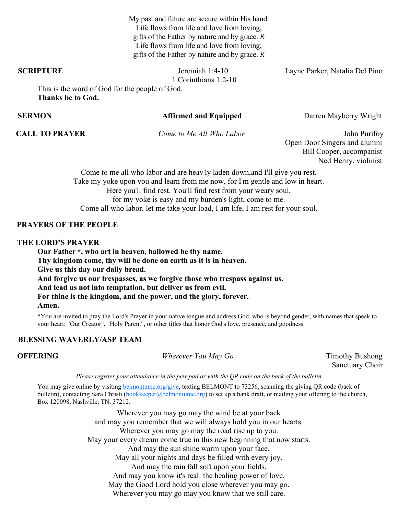My past and future are secure within His hand. Life flows from life and love from loving; gifts of the Father by nature and by grace. *R* Life flows from life and love from loving; gifts of the Father by nature and by grace. *R*

1 Corinthians 1:2-10

**SCRIPTURE Jeremiah 1:4-10** Layne Parker, Natalia Del Pino

This is the word of God for the people of God. **Thanks be to God.** 

### **SERMON Affirmed and Equipped** Darren Mayberry Wright

**CALL TO PRAYER** *Come to Me All Who Labor* John Purifoy Open Door Singers and alumni Bill Cooper, accompanist Ned Henry, violinist

> Come to me all who labor and are heav'ly laden down,and I'll give you rest. Take my yoke upon you and learn from me now, for I'm gentle and low in heart. Here you'll find rest. You'll find rest from your weary soul, for my yoke is easy and my burden's light, come to me. Come all who labor, let me take your load, I am life, I am rest for your soul.

### **PRAYERS OF THE PEOPLE**

### **THE LORD'S PRAYER**

**Our Father \*, who art in heaven, hallowed be thy name. Thy kingdom come, thy will be done on earth as it is in heaven. Give us this day our daily bread. And forgive us our trespasses, as we forgive those who trespass against us. And lead us not into temptation, but deliver us from evil. For thine is the kingdom, and the power, and the glory, forever. Amen.**

\*You are invited to pray the Lord's Prayer in your native tongue and address God, who is beyond gender, with names that speak to your heart: "Our Creator", "Holy Parent", or other titles that honor God's love, presence, and goodness.

### **BLESSING WAVERLY/ASP TEAM**

**OFFERING** *Wherever You May Go* Timothy Bushong

Sanctuary Choir

Please register your attendance in the pew pad or with the QR code on the back of the bulletin.

You may give online by visiting [belmontumc.org/give,](http://belmontumc.org/give) texting BELMONT to 73256, scanning the giving QR code (back of bulletin), contacting Sara Christi [\(bookkeeper@belmontumc.org\)](mailto:bookkeeper@belmontumc.org) to set up a bank draft, or mailing your offering to the church, Box 120098, Nashville, TN, 37212.

> Wherever you may go may the wind be at your back and may you remember that we will always hold you in our hearts. Wherever you may go may the road rise up to you. May your every dream come true in this new beginning that now starts. And may the sun shine warm upon your face. May all your nights and days be filled with every joy. And may the rain fall soft upon your fields. And may you know it's real: the healing power of love. May the Good Lord hold you close wherever you may go. Wherever you may go may you know that we still care.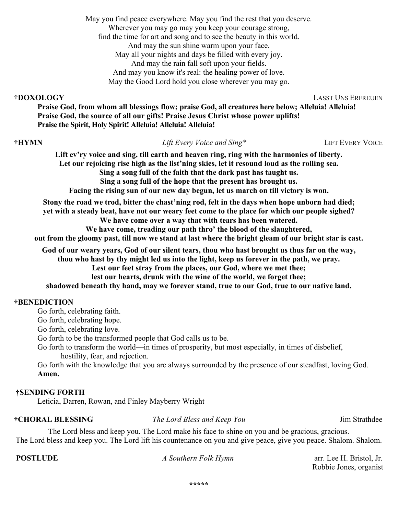May you find peace everywhere. May you find the rest that you deserve. Wherever you may go may you keep your courage strong, find the time for art and song and to see the beauty in this world. And may the sun shine warm upon your face. May all your nights and days be filled with every joy. And may the rain fall soft upon your fields. And may you know it's real: the healing power of love. May the Good Lord hold you close wherever you may go.

**†DOXOLOGY** LASST UNS ERFREUEN

**Praise God, from whom all blessings flow; praise God, all creatures here below; Alleluia! Alleluia! Praise God, the source of all our gifts! Praise Jesus Christ whose power uplifts! Praise the Spirit, Holy Spirit! Alleluia! Alleluia! Alleluia!**

### **†HYMN** *Lift Every Voice and Sing\** LIFT EVERY VOICE

**Lift ev'ry voice and sing, till earth and heaven ring, ring with the harmonies of liberty. Let our rejoicing rise high as the list'ning skies, let it resound loud as the rolling sea. Sing a song full of the faith that the dark past has taught us. Sing a song full of the hope that the present has brought us.**

**Facing the rising sun of our new day begun, let us march on till victory is won.**

**Stony the road we trod, bitter the chast'ning rod, felt in the days when hope unborn had died; yet with a steady beat, have not our weary feet come to the place for which our people sighed? We have come over a way that with tears has been watered. We have come, treading our path thro' the blood of the slaughtered,**

**out from the gloomy past, till now we stand at last where the bright gleam of our bright star is cast.**

**God of our weary years, God of our silent tears, thou who hast brought us thus far on the way,**

**thou who hast by thy might led us into the light, keep us forever in the path, we pray.**

**Lest our feet stray from the places, our God, where we met thee;**

**lest our hearts, drunk with the wine of the world, we forget thee;**

**shadowed beneath thy hand, may we forever stand, true to our God, true to our native land.**

### **†BENEDICTION**

Go forth, celebrating faith.

Go forth, celebrating hope.

Go forth, celebrating love.

Go forth to be the transformed people that God calls us to be.

Go forth to transform the world—in times of prosperity, but most especially, in times of disbelief, hostility, fear, and rejection.

Go forth with the knowledge that you are always surrounded by the presence of our steadfast, loving God. **Amen.**

### **†SENDING FORTH**

Leticia, Darren, Rowan, and Finley Mayberry Wright

**†CHORAL BLESSING** *The Lord Bless and Keep You* Jim Strathdee

The Lord bless and keep you. The Lord make his face to shine on you and be gracious, gracious. The Lord bless and keep you. The Lord lift his countenance on you and give peace, give you peace. Shalom. Shalom.

**POSTLUDE** *A Southern Folk Hymn* arr. Lee H. Bristol, Jr. Robbie Jones, organist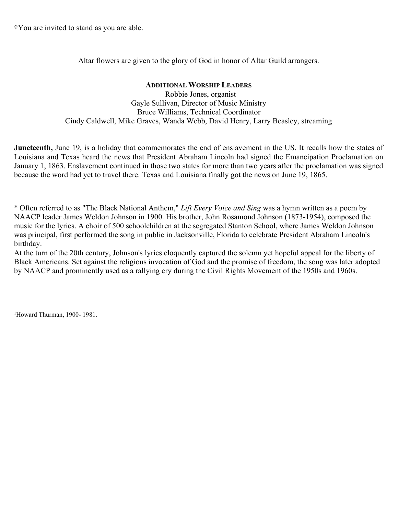**†**You are invited to stand as you are able.

Altar flowers are given to the glory of God in honor of Altar Guild arrangers.

**ADDITIONAL WORSHIP LEADERS** Robbie Jones, organist Gayle Sullivan, Director of Music Ministry Bruce Williams, Technical Coordinator Cindy Caldwell, Mike Graves, Wanda Webb, David Henry, Larry Beasley, streaming

**Juneteenth,** June 19, is a holiday that commemorates the end of enslavement in the US. It recalls how the states of Louisiana and Texas heard the news that President Abraham Lincoln had signed the Emancipation Proclamation on January 1, 1863. Enslavement continued in those two states for more than two years after the proclamation was signed because the word had yet to travel there. Texas and Louisiana finally got the news on June 19, 1865.

\* Often referred to as "The Black National Anthem," *Lift Every Voice and Sing* was a hymn written as a poem by NAACP leader James Weldon Johnson in 1900. His brother, John Rosamond Johnson (1873-1954), composed the music for the lyrics. A choir of 500 schoolchildren at the segregated Stanton School, where James Weldon Johnson was principal, first performed the song in public in Jacksonville, Florida to celebrate President Abraham Lincoln's birthday.

At the turn of the 20th century, Johnson's lyrics eloquently captured the solemn yet hopeful appeal for the liberty of Black Americans. Set against the religious invocation of God and the promise of freedom, the song was later adopted by NAACP and prominently used as a rallying cry during the Civil Rights Movement of the 1950s and 1960s.

<sup>1</sup>Howard Thurman, 1900- 1981.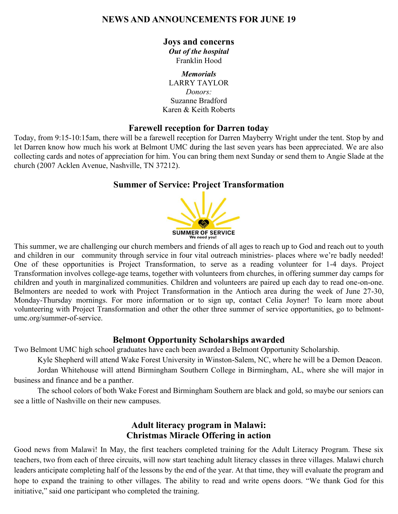# **NEWS AND ANNOUNCEMENTS FOR JUNE 19**

## **Joys and concerns**

*Out of the hospital*  Franklin Hood

*Memorials*  LARRY TAYLOR *Donors:*  Suzanne Bradford Karen & Keith Roberts

## **Farewell reception for Darren today**

Today, from 9:15-10:15am, there will be a farewell reception for Darren Mayberry Wright under the tent. Stop by and let Darren know how much his work at Belmont UMC during the last seven years has been appreciated. We are also collecting cards and notes of appreciation for him. You can bring them next Sunday or send them to Angie Slade at the church (2007 Acklen Avenue, Nashville, TN 37212).

## **Summer of Service: Project Transformation**



This summer, we are challenging our church members and friends of all ages to reach up to God and reach out to youth and children in our community through service in four vital outreach ministries- places where we're badly needed! One of these opportunities is Project Transformation, to serve as a reading volunteer for 1-4 days. Project Transformation involves college-age teams, together with volunteers from churches, in offering summer day camps for children and youth in marginalized communities. Children and volunteers are paired up each day to read one-on-one. Belmonters are needed to work with Project Transformation in the Antioch area during the week of June 27-30, Monday-Thursday mornings. For more information or to sign up, contact Celia Joyner! To learn more about volunteering with Project Transformation and other the other three summer of service opportunities, go to belmontumc.org/summer-of-service.

## **Belmont Opportunity Scholarships awarded**

Two Belmont UMC high school graduates have each been awarded a Belmont Opportunity Scholarship.

Kyle Shepherd will attend Wake Forest University in Winston-Salem, NC, where he will be a Demon Deacon. Jordan Whitehouse will attend Birmingham Southern College in Birmingham, AL, where she will major in

business and finance and be a panther.

The school colors of both Wake Forest and Birmingham Southern are black and gold, so maybe our seniors can see a little of Nashville on their new campuses.

# **Adult literacy program in Malawi: Christmas Miracle Offering in action**

Good news from Malawi! In May, the first teachers completed training for the Adult Literacy Program. These six teachers, two from each of three circuits, will now start teaching adult literacy classes in three villages. Malawi church leaders anticipate completing half of the lessons by the end of the year. At that time, they will evaluate the program and hope to expand the training to other villages. The ability to read and write opens doors. "We thank God for this initiative," said one participant who completed the training.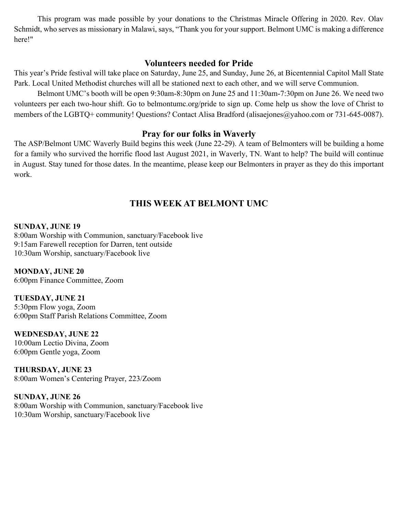This program was made possible by your donations to the Christmas Miracle Offering in 2020. Rev. Olav Schmidt, who serves as missionary in Malawi, says, "Thank you for your support. Belmont UMC is making a difference here!"

## **Volunteers needed for Pride**

This year's Pride festival will take place on Saturday, June 25, and Sunday, June 26, at Bicentennial Capitol Mall State Park. Local United Methodist churches will all be stationed next to each other, and we will serve Communion.

Belmont UMC's booth will be open 9:30am-8:30pm on June 25 and 11:30am-7:30pm on June 26. We need two volunteers per each two-hour shift. Go to belmontumc.org/pride to sign up. Come help us show the love of Christ to members of the LGBTQ+ community! Questions? Contact Alisa Bradford (alisaejones@yahoo.com or 731-645-0087).

## **Pray for our folks in Waverly**

The ASP/Belmont UMC Waverly Build begins this week (June 22-29). A team of Belmonters will be building a home for a family who survived the horrific flood last August 2021, in Waverly, TN. Want to help? The build will continue in August. Stay tuned for those dates. In the meantime, please keep our Belmonters in prayer as they do this important work.

# **THIS WEEK AT BELMONT UMC**

**SUNDAY, JUNE 19**  8:00am Worship with Communion, sanctuary/Facebook live 9:15am Farewell reception for Darren, tent outside 10:30am Worship, sanctuary/Facebook live

**MONDAY, JUNE 20**  6:00pm Finance Committee, Zoom

**TUESDAY, JUNE 21**  5:30pm Flow yoga, Zoom 6:00pm Staff Parish Relations Committee, Zoom

**WEDNESDAY, JUNE 22**  10:00am Lectio Divina, Zoom 6:00pm Gentle yoga, Zoom

**THURSDAY, JUNE 23**  8:00am Women's Centering Prayer, 223/Zoom

**SUNDAY, JUNE 26**  8:00am Worship with Communion, sanctuary/Facebook live 10:30am Worship, sanctuary/Facebook live